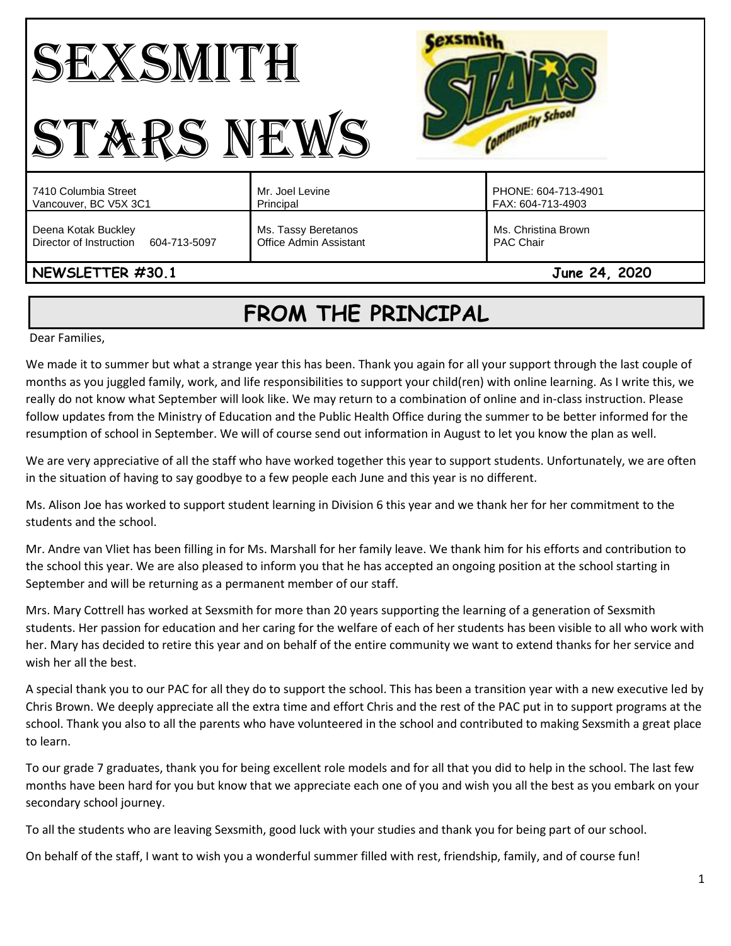#### Cexsmith SEXSMITH Community School STARS NEWS PHONE: 604-713-4901 7410 Columbia Street Mr. Joel Levine Vancouver, BC V5X 3C1 Principal FAX: 604-713-4903 Deena Kotak Buckley Ms. Tassy Beretanos Ms. Christina Brown Director of Instruction 604-713-5097 Office Admin Assistant PAC Chair **NEWSLETTER #30.1 June 24, 2020**

# **FROM THE PRINCIPAL**

Dear Families,

We made it to summer but what a strange year this has been. Thank you again for all your support through the last couple of months as you juggled family, work, and life responsibilities to support your child(ren) with online learning. As I write this, we really do not know what September will look like. We may return to a combination of online and in-class instruction. Please follow updates from the Ministry of Education and the Public Health Office during the summer to be better informed for the resumption of school in September. We will of course send out information in August to let you know the plan as well.

We are very appreciative of all the staff who have worked together this year to support students. Unfortunately, we are often in the situation of having to say goodbye to a few people each June and this year is no different.

Ms. Alison Joe has worked to support student learning in Division 6 this year and we thank her for her commitment to the students and the school.

Mr. Andre van Vliet has been filling in for Ms. Marshall for her family leave. We thank him for his efforts and contribution to the school this year. We are also pleased to inform you that he has accepted an ongoing position at the school starting in September and will be returning as a permanent member of our staff.

Mrs. Mary Cottrell has worked at Sexsmith for more than 20 years supporting the learning of a generation of Sexsmith students. Her passion for education and her caring for the welfare of each of her students has been visible to all who work with her. Mary has decided to retire this year and on behalf of the entire community we want to extend thanks for her service and wish her all the best.

A special thank you to our PAC for all they do to support the school. This has been a transition year with a new executive led by Chris Brown. We deeply appreciate all the extra time and effort Chris and the rest of the PAC put in to support programs at the school. Thank you also to all the parents who have volunteered in the school and contributed to making Sexsmith a great place to learn.

To our grade 7 graduates, thank you for being excellent role models and for all that you did to help in the school. The last few months have been hard for you but know that we appreciate each one of you and wish you all the best as you embark on your secondary school journey.

To all the students who are leaving Sexsmith, good luck with your studies and thank you for being part of our school.

On behalf of the staff, I want to wish you a wonderful summer filled with rest, friendship, family, and of course fun!